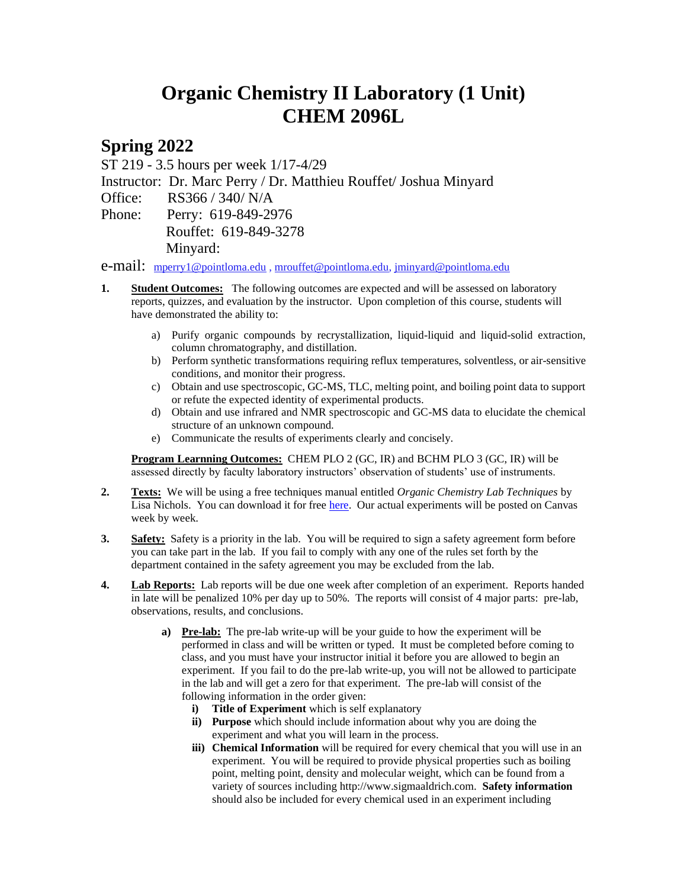## **Organic Chemistry II Laboratory (1 Unit) CHEM 2096L**

## **Spring 2022**

ST 219 - 3.5 hours per week 1/17-4/29

Instructor: Dr. Marc Perry / Dr. Matthieu Rouffet/ Joshua Minyard

Office: RS366 / 340/ N/A

Phone: Perry: 619-849-2976 Rouffet: 619-849-3278 Minyard:

e-mail: [mperry1@pointloma.edu](mailto:mperry1@pointloma.edu) [, mrouffet@pointloma.edu,](mailto:mrouffet@pointloma.edu) [jminyard@pointloma.edu](mailto:jminyard@pointloma.edu)

- **1. Student Outcomes:** The following outcomes are expected and will be assessed on laboratory reports, quizzes, and evaluation by the instructor. Upon completion of this course, students will have demonstrated the ability to:
	- a) Purify organic compounds by recrystallization, liquid-liquid and liquid-solid extraction, column chromatography, and distillation.
	- b) Perform synthetic transformations requiring reflux temperatures, solventless, or air-sensitive conditions, and monitor their progress.
	- c) Obtain and use spectroscopic, GC-MS, TLC, melting point, and boiling point data to support or refute the expected identity of experimental products.
	- d) Obtain and use infrared and NMR spectroscopic and GC-MS data to elucidate the chemical structure of an unknown compound.
	- e) Communicate the results of experiments clearly and concisely.

**Program Learnning Outcomes:** CHEM PLO 2 (GC, IR) and BCHM PLO 3 (GC, IR) will be assessed directly by faculty laboratory instructors' observation of students' use of instruments.

- **2. Texts:** We will be using a free techniques manual entitled *Organic Chemistry Lab Techniques* by Lisa Nichols. You can download it for free [here.](https://chem.libretexts.org/Bookshelves/Organic_Chemistry/Book%3A_Organic_Chemistry_Lab_Techniques_(Nichols)?fbclid=IwAR0ymLlTWVjFFSFfhGq3OEIIjroDvm94941DZkXFuId-MbRuAzMxdQFjwBo) Our actual experiments will be posted on Canvas week by week.
- **3. Safety:** Safety is a priority in the lab. You will be required to sign a safety agreement form before you can take part in the lab. If you fail to comply with any one of the rules set forth by the department contained in the safety agreement you may be excluded from the lab.
- **4. Lab Reports:** Lab reports will be due one week after completion of an experiment. Reports handed in late will be penalized 10% per day up to 50%. The reports will consist of 4 major parts: pre-lab, observations, results, and conclusions.
	- **a) Pre-lab:** The pre-lab write-up will be your guide to how the experiment will be performed in class and will be written or typed. It must be completed before coming to class, and you must have your instructor initial it before you are allowed to begin an experiment. If you fail to do the pre-lab write-up, you will not be allowed to participate in the lab and will get a zero for that experiment. The pre-lab will consist of the following information in the order given:
		- **i) Title of Experiment** which is self explanatory
		- **ii) Purpose** which should include information about why you are doing the experiment and what you will learn in the process.
		- **iii) Chemical Information** will be required for every chemical that you will use in an experiment. You will be required to provide physical properties such as boiling point, melting point, density and molecular weight, which can be found from a variety of sources including http://www.sigmaaldrich.com. **Safety information** should also be included for every chemical used in an experiment including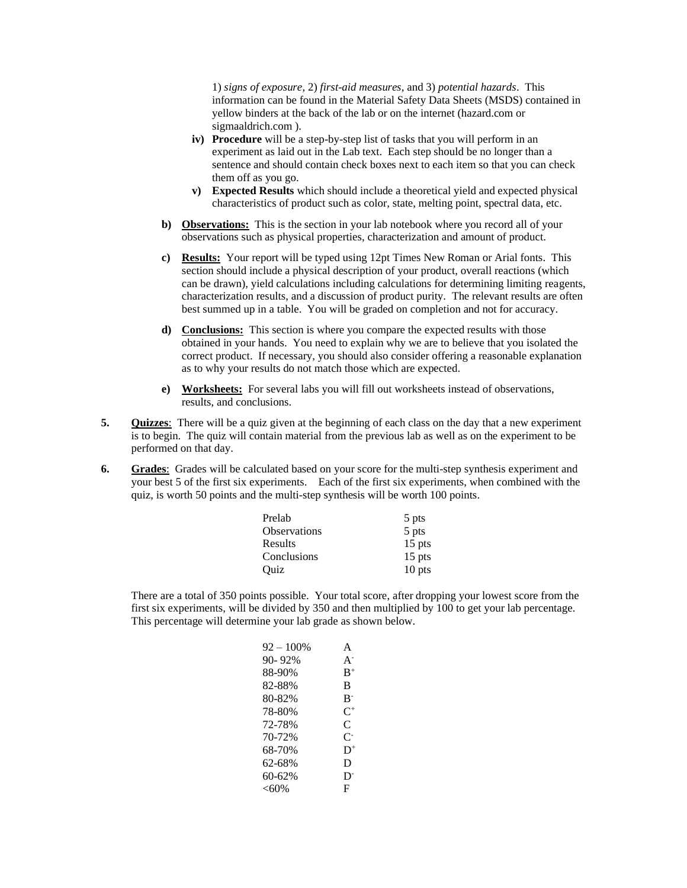1) *signs of exposure*, 2) *first-aid measures*, and 3) *potential hazards*. This information can be found in the Material Safety Data Sheets (MSDS) contained in yellow binders at the back of the lab or on the internet (hazard.com or sigmaaldrich.com ).

- **iv) Procedure** will be a step-by-step list of tasks that you will perform in an experiment as laid out in the Lab text. Each step should be no longer than a sentence and should contain check boxes next to each item so that you can check them off as you go.
- **v) Expected Results** which should include a theoretical yield and expected physical characteristics of product such as color, state, melting point, spectral data, etc.
- **b) Observations:** This is the section in your lab notebook where you record all of your observations such as physical properties, characterization and amount of product.
- **c) Results:** Your report will be typed using 12pt Times New Roman or Arial fonts. This section should include a physical description of your product, overall reactions (which can be drawn), yield calculations including calculations for determining limiting reagents, characterization results, and a discussion of product purity. The relevant results are often best summed up in a table. You will be graded on completion and not for accuracy.
- **d) Conclusions:** This section is where you compare the expected results with those obtained in your hands. You need to explain why we are to believe that you isolated the correct product. If necessary, you should also consider offering a reasonable explanation as to why your results do not match those which are expected.
- **e) Worksheets:** For several labs you will fill out worksheets instead of observations, results, and conclusions.
- **5. Quizzes**: There will be a quiz given at the beginning of each class on the day that a new experiment is to begin. The quiz will contain material from the previous lab as well as on the experiment to be performed on that day.
- **6. Grades**:Grades will be calculated based on your score for the multi-step synthesis experiment and your best 5 of the first six experiments. Each of the first six experiments, when combined with the quiz, is worth 50 points and the multi-step synthesis will be worth 100 points.

| Prelab              | 5 pts    |
|---------------------|----------|
| <b>Observations</b> | 5 pts    |
| Results             | $15$ pts |
| Conclusions         | $15$ pts |
| Ouiz                | $10$ pts |

There are a total of 350 points possible. Your total score, after dropping your lowest score from the first six experiments, will be divided by 350 and then multiplied by 100 to get your lab percentage. This percentage will determine your lab grade as shown below.

| $92 - 100\%$ | A                         |
|--------------|---------------------------|
| 90-92%       | $A^{-}$                   |
| 88-90%       | $B^+$                     |
| 82-88%       | B                         |
| 80-82%       | $B^-$                     |
| 78-80%       | $C^+$                     |
| 72-78%       | C                         |
| 70-72%       | $\mathsf{C}^{\mathsf{L}}$ |
| 68-70%       | $D^+$                     |
| 62-68%       | D                         |
| 60-62%       | D <sup>-</sup>            |
| <60%         | F                         |
|              |                           |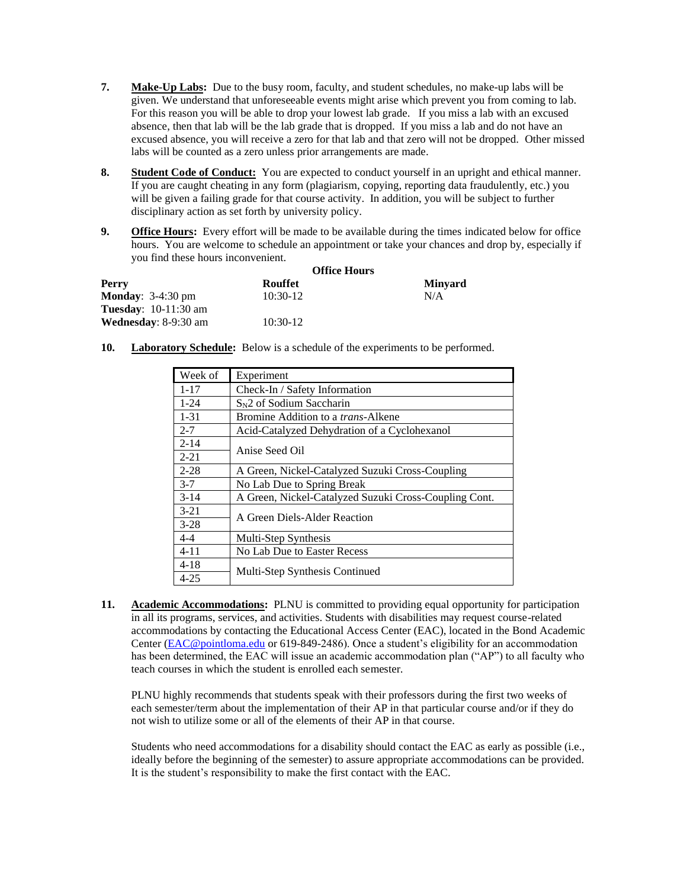- **7. Make-Up Labs:** Due to the busy room, faculty, and student schedules, no make-up labs will be given. We understand that unforeseeable events might arise which prevent you from coming to lab. For this reason you will be able to drop your lowest lab grade. If you miss a lab with an excused absence, then that lab will be the lab grade that is dropped. If you miss a lab and do not have an excused absence, you will receive a zero for that lab and that zero will not be dropped. Other missed labs will be counted as a zero unless prior arrangements are made.
- **8. Student Code of Conduct:** You are expected to conduct yourself in an upright and ethical manner. If you are caught cheating in any form (plagiarism, copying, reporting data fraudulently, etc.) you will be given a failing grade for that course activity. In addition, you will be subject to further disciplinary action as set forth by university policy.
- **9. Office Hours:** Every effort will be made to be available during the times indicated below for office hours. You are welcome to schedule an appointment or take your chances and drop by, especially if you find these hours inconvenient.

| Perry                          | <b>Office Hours</b> |                |
|--------------------------------|---------------------|----------------|
|                                | <b>Rouffet</b>      | <b>Minvard</b> |
| <b>Monday</b> : $3-4:30$ pm    | $10:30-12$          | N/A            |
| <b>Tuesday</b> : $10-11:30$ am |                     |                |
| <b>Wednesday</b> : 8-9:30 am   | $10:30-12$          |                |

**10. Laboratory Schedule:** Below is a schedule of the experiments to be performed.

| Week of  | Experiment                                            |  |
|----------|-------------------------------------------------------|--|
| $1 - 17$ | Check-In / Safety Information                         |  |
| $1 - 24$ | $S_N$ 2 of Sodium Saccharin                           |  |
| $1 - 31$ | Bromine Addition to a <i>trans</i> -Alkene            |  |
| $2 - 7$  | Acid-Catalyzed Dehydration of a Cyclohexanol          |  |
| $2 - 14$ |                                                       |  |
| $2 - 21$ | Anise Seed Oil                                        |  |
| $2 - 28$ | A Green, Nickel-Catalyzed Suzuki Cross-Coupling       |  |
| $3 - 7$  | No Lab Due to Spring Break                            |  |
| $3 - 14$ | A Green, Nickel-Catalyzed Suzuki Cross-Coupling Cont. |  |
| $3 - 21$ |                                                       |  |
| $3 - 28$ | A Green Diels-Alder Reaction                          |  |
| 4-4      | Multi-Step Synthesis                                  |  |
| $4 - 11$ | No Lab Due to Easter Recess                           |  |
| $4 - 18$ |                                                       |  |
| $4 - 25$ | Multi-Step Synthesis Continued                        |  |

**11. Academic Accommodations:** PLNU is committed to providing equal opportunity for participation in all its programs, services, and activities. Students with disabilities may request course-related accommodations by contacting the Educational Access Center (EAC), located in the Bond Academic Center [\(EAC@pointloma.edu](mailto:EAC@pointloma.edu) or 619-849-2486). Once a student's eligibility for an accommodation has been determined, the EAC will issue an academic accommodation plan ("AP") to all faculty who teach courses in which the student is enrolled each semester.

PLNU highly recommends that students speak with their professors during the first two weeks of each semester/term about the implementation of their AP in that particular course and/or if they do not wish to utilize some or all of the elements of their AP in that course.

Students who need accommodations for a disability should contact the EAC as early as possible (i.e., ideally before the beginning of the semester) to assure appropriate accommodations can be provided. It is the student's responsibility to make the first contact with the EAC.